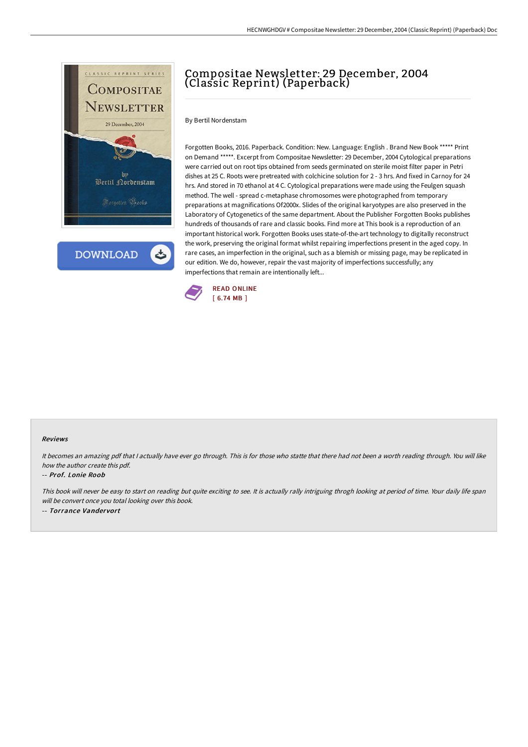

**DOWNLOAD** 

# Compositae Newsletter: 29 December, 2004 (Classic Reprint) (Paperback)

By Bertil Nordenstam

Forgotten Books, 2016. Paperback. Condition: New. Language: English . Brand New Book \*\*\*\*\* Print on Demand \*\*\*\*\*. Excerpt from Compositae Newsletter: 29 December, 2004 Cytological preparations were carried out on root tips obtained from seeds germinated on sterile moist filter paper in Petri dishes at 25 C. Roots were pretreated with colchicine solution for 2 - 3 hrs. And fixed in Carnoy for 24 hrs. And stored in 70 ethanol at 4 C. Cytological preparations were made using the Feulgen squash method. The well - spread c-metaphase chromosomes were photographed from temporary preparations at magnifications Of2000x. Slides of the original karyotypes are also preserved in the Laboratory of Cytogenetics of the same department. About the Publisher Forgotten Books publishes hundreds of thousands of rare and classic books. Find more at This book is a reproduction of an important historical work. Forgotten Books uses state-of-the-art technology to digitally reconstruct the work, preserving the original format whilst repairing imperfections present in the aged copy. In rare cases, an imperfection in the original, such as a blemish or missing page, may be replicated in our edition. We do, however, repair the vast majority of imperfections successfully; any imperfections that remain are intentionally left...



#### Reviews

It becomes an amazing pdf that I actually have ever go through. This is for those who statte that there had not been a worth reading through. You will like how the author create this pdf.

#### -- Prof. Lonie Roob

This book will never be easy to start on reading but quite exciting to see. It is actually rally intriguing throgh looking at period of time. Your daily life span will be convert once you total looking over this book. -- Torrance Vandervort